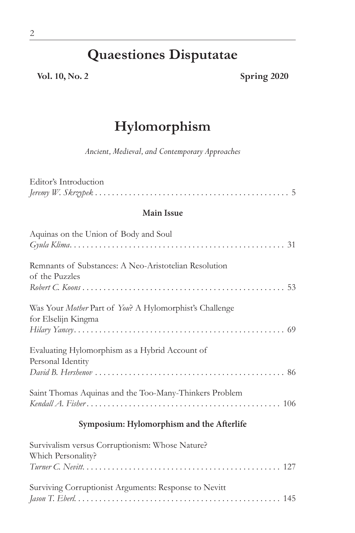## **Quaestiones Disputatae**

**Vol. 10, No. 2 Spring 2020**

## **Hylomorphism**

*Ancient, Medieval, and Contemporary Approaches*

| Editor's Introduction                                                          |  |  |
|--------------------------------------------------------------------------------|--|--|
|                                                                                |  |  |
| <b>Main Issue</b>                                                              |  |  |
| Aquinas on the Union of Body and Soul                                          |  |  |
| Remnants of Substances: A Neo-Aristotelian Resolution<br>of the Puzzles        |  |  |
| Was Your Mother Part of You? A Hylomorphist's Challenge<br>for Elselijn Kingma |  |  |
| Evaluating Hylomorphism as a Hybrid Account of<br>Personal Identity            |  |  |
| Saint Thomas Aquinas and the Too-Many-Thinkers Problem                         |  |  |
| Symposium: Hylomorphism and the Afterlife                                      |  |  |

| Survivalism versus Corruptionism: Whose Nature?       |  |
|-------------------------------------------------------|--|
| Which Personality?                                    |  |
|                                                       |  |
|                                                       |  |
| Surviving Corruptionist Arguments: Response to Nevitt |  |
|                                                       |  |